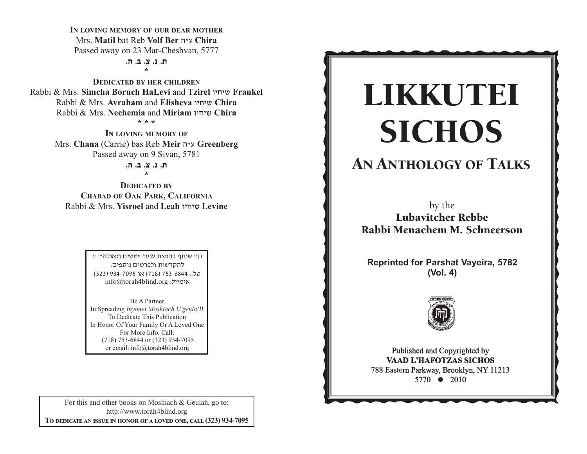IN LOVING MEMORY OF OUR DEAR MOTHER Mrs. Matil bat Reb Volf Ber ע״ה Chira Passed away on 23 Mar-Cheshvan, 5777

> ת. נ. צ. ב. ה.  $\star$

**DEDICATED BY HER CHILDREN** Rabbi & Mrs. Simcha Boruch HaLevi and Tzirel שיחיו Frankel Rabbi & Mrs. Avraham and Elisheva שיחיו Chira Rabbi & Mrs. Nechemia and Miriam שיחיו Chira  $+ + +$ 

> IN LOVING MEMORY OF Mrs. Chana (Carrie) bas Reb Meir ע״ה Greenberg Passed away on 9 Sivan, 5781

> > ת. נ. צ. ב. ה.  $\mathbf{L}$

**DEDICATED BY CHABAD OF OAK PARK, CALIFORNIA** Rabbi & Mrs. **Yisroel** and Leah שיחיו Levine

> היי שותף בהפצת עניני "משיח וגאולה"!!! להקדשות ולפרטים נוספים: 0ל.: 753-6844 (718) או 7095-934 (323) info@torah4blind.org אימייל:

Be A Partner In Spreading Invonei Moshiach U'geula!!! To Dedicate This Publication In Honor Of Your Family Or A Loved One For More Info. Call: (718) 753-6844 or (323) 934-7095 or email: info@torah4blind.org

For this and other books on Moshiach & Geulah, go to: http://www.torah4blind.org TO DEDICATE AN ISSUE IN HONOR OF A LOVED ONE, CALL (323) 934-7095

# LIKKUTEI **SICHOS**

## **AN ANTHOLOGY OF TALKS**

by the **Lubavitcher Rebbe** Rabbi Menachem M. Schneerson

**Reprinted for Parshat Vayeira, 5782**  $(Vol. 4)$ 



Published and Copyrighted by **VAAD L'HAFOTZAS SICHOS** 788 Eastern Parkway, Brooklyn, NY 11213 5770 • 2010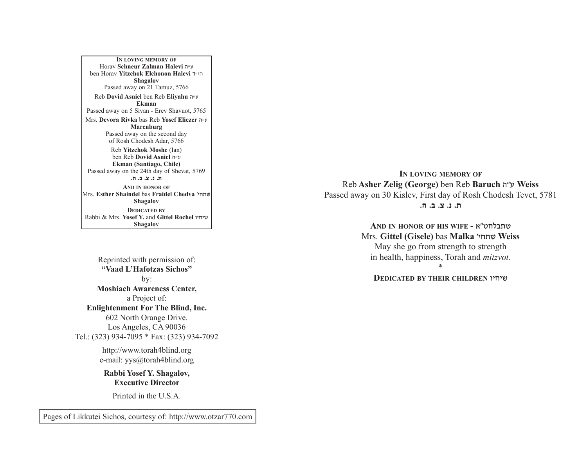A PARALLEL BETWEEN MANNA AND SHABBOS Mrs. **Devora Rivka** bas Reb **Yosef Eliezer** v"g **IN LOVING MEMORY OF**Horav **Schneur Zalman Halevi** v"g ben Horav **Yitzchok Elchonon Halevi** s"hv**Shagalov** Passed away on 21 Tamuz, 5766 Reb **Dovid Asniel** ben Reb **Eliyahu** <sup>v</sup>"g **Ekman**Passed away on 5 Sivan - Erev Shavuot, 5765 **Marenburg** Passed away on the second day of Rosh Chodesh Adar, 5766 Reb **Yitzchok Moshe** (Ian) ben Reb **Dovid Asniel** v"g **Ekman (Santiago, Chile)** Passed away on the 24th day of Shevat, 5769 **/v /c /m /b /, AND IN HONOR OF** Mrs. **Esther Shaindel** bas **Fraidel Chedva** whj,a**Shagalov DEDICATED BY**Rabbi & Mrs. **Yosef Y.** and **Gittel Rochel** uhjha**Shagalov**

Reprinted with permission of: **"Vaad L'Hafotzas Sichos"**by: **Moshiach Awareness Center,** a Project of: **Enlightenment For The Blind, Inc.** 602 North Orange Drive. Los Angeles, CA 90036 Tel.: (323) 934-7095 \* Fax: (323) 934-7092

> http://www.torah4blind.org e-mail: yys@torah4blind.org

**Rabbi Yosef Y. Shagalov, Executive Director**

Printed in the U.S.A.

**IN LOVING MEMORY OF** Reb **Asher Zelig (George)** ben Reb **Baruch** v"g **Weiss**  Passed away on 30 Kislev, First day of Rosh Chodesh Tevet, 5781 **/v /c /m /b /,**

> **AND IN HONOR OF HIS WIFE -** t"yjkc,a Mrs. **Gittel (Gisele)** bas **Malka** whj,a **Weiss** May she go from strength to strength in health, happiness, Torah and *mitzvot*.

\*

**DEDICATED BY THEIR CHILDREN** uhjha

Pages of Likkutei Sichos, courtesy of: http://www.otzar770.com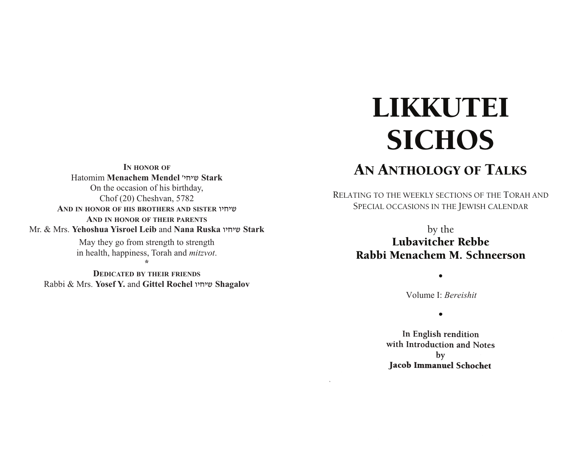**IN HONOR OF** Hatomim **Menachem Mendel** whjha **Stark** On the occasion of his birthday, Chof (20) Cheshvan, 5782 **AND IN HONOR OF HIS BROTHERS AND SISTER** uhjha **AND IN HONOR OF THEIR PARENTS** Mr. & Mrs. **Yehoshua Yisroel Leib** and **Nana Ruska** uhjha **Stark** 

> May they go from strength to strength in health, happiness, Torah and *mitzvot*. **\***

**DEDICATED BY THEIR FRIENDS** Rabbi & Mrs. **Yosef Y.** and **Gittel Rochel** uhjha **Shagalov**

# LIKKUTEI **SICHOS**

## AN ANTHOLOGY OF TALKS

RELATING TO THE WEEKLY SECTIONS OF THE TORAH AND SPECIAL OCCASIONS IN THE JEWISH CALENDAR

> by the Lubavitcher Rebbe Rabbi Menachem M. Schneerson

> > Volume I: *Bereishit*

• •

•

In English rendition with Introduction and Notes by **Jacob Immanuel Schochet**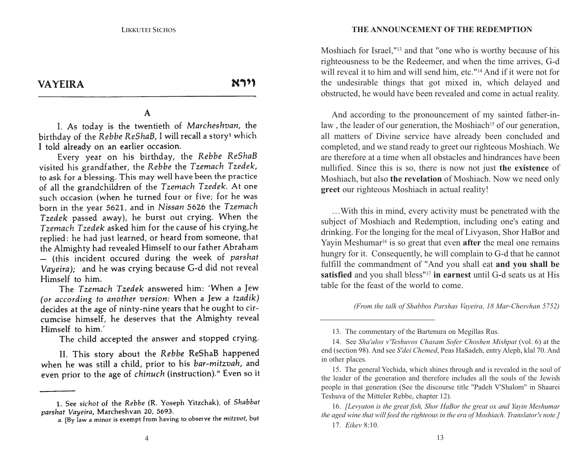**VAYEIRA** 

וירא

#### $\mathbf{A}$

I. As today is the twentieth of Marcheshvan, the birthday of the Rebbe ReShaB, I will recall a story<sup>1</sup> which I told already on an earlier occasion.

Every year on his birthday, the Rebbe ReShaB visited his grandfather, the Rebbe the Tzemach Tzedek, to ask for a blessing. This may well have been the practice of all the grandchildren of the Tzemach Tzedek. At one such occasion (when he turned four or five; for he was born in the year 5621, and in Nissan 5626 the Tzemach Tzedek passed away), he burst out crying. When the Tzemach Tzedek asked him for the cause of his crying, he replied: he had just learned, or heard from someone, that the Almighty had revealed Himself to our father Abraham - (this incident occured during the week of parshat Vayeira); and he was crying because G-d did not reveal Himself to him.

The Tzemach Tzedek answered him: 'When a Jew (or according to another version: When a Jew a tzadik) decides at the age of ninty-nine years that he ought to circumcise himself, he deserves that the Almighty reveal Himself to him.'

The child accepted the answer and stopped crying.

II. This story about the Rebbe ReShaB happened when he was still a child, prior to his bar-mitzvah, and even prior to the age of chinuch (instruction)." Even so it

#### **VAYEIRATHE ANNOUNCEMENT OF THE REDEMPTION**

Moshiach for Israel,"13 and that "one who is worthy because of his righteousness to be the Redeemer, and when the time arrives, G-d will reveal it to him and will send him, etc."14 And if it were not for the undesirable things that got mixed in, which delayed and obstructed, he would have been revealed and come in actual reality.

And according to the pronouncement of my sainted father-inlaw, the leader of our generation, the Moshiach<sup>15</sup> of our generation, all matters of Divine service have already been concluded and completed, and we stand ready to greet our righteous Moshiach. We are therefore at a time when all obstacles and hindrances have beennullified. Since this is so, there is now not just **the existence** of Moshiach, but also **the revelation** of Moshiach. Now we need only **gree<sup>t</sup>** our righteous Moshiach in actual reality!

…With this in mind, every activity must be penetrated with the subject of Moshiach and Redemption, including one's eating and drinking. For the longing for the meal of Livyason, Shor HaBor and Yayin Meshumar<sup>16</sup> is so great that even **after** the meal one remains hungry for it. Consequently, he will complain to G-d that he cannot fulfill the commandment of "And you shall eat **and you shall be satisfied** and you shall bless"17 **in earnest** until G-d seats us at His table for the feast of the world to come.

*(From the talk of Shabbos Parshas Vayeira, 18 Mar-Chesvhan 5752)*

<sup>1.</sup> See sichot of the Rebbe (R. Yoseph Yitzchak), of Shabbat parshat Vayeira, Marcheshvan 20, 5693.

a. [By law a minor is exempt from having to observe the mitzvot, but

<sup>13.</sup> The commentary of the Bartenura on Megillas Rus.

<sup>14.</sup> See *Sha'alos v'Teshuvos Chasam Sofer Choshen Mishpat* (vol. 6) at the end (section 98). And see *S'dei Chemed*, Peas HaSadeh, entry Aleph, klal 70. And in other places.

<sup>15.</sup> The general Yechida, which shines through and is revealed in the soul of the leader of the generation and therefore includes all the souls of the Jewish people in that generation (See the discourse title "Padeh V'Shalom" in Shaarei Teshuva of the Mitteler Rebbe, chapter 12).

<sup>16.</sup> *[Levyaton is the great fish, Shor HaBor the great ox and Yayin Meshumar the aged wine that will feed the righteous in the era of Moshiach. Translator's note.]* 17. *Eikev* 8:10.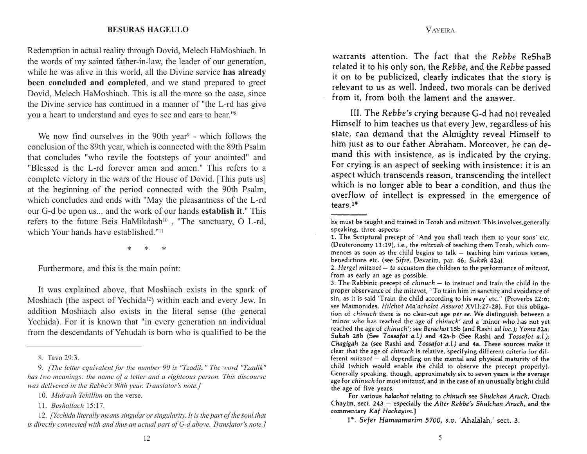#### **LIKKUTEI SICHOSBESURAS HAGEULO**

you a heart to understand and eyes to see and ears to hear."<sup>8</sup> Redemption in actual reality through Dovid, Melech HaMoshiach. In the words of my sainted father-in-law, the leader of our generation, while he was alive in this world, all the Divine service **has already been concluded and completed**, and we stand prepared to greet Dovid, Melech HaMoshiach. This is all the more so the case, since the Divine service has continued in a manner of "the L-rd has give

We now find ourselves in the 90th year<sup>9</sup> - which follows the conclusion of the 89th year, which is connected with the 89th Psalm that concludes "who revile the footsteps of your anointed" and "Blessed is the L-rd forever amen and amen." This refers to acomplete victory in the wars of the House of Dovid. [This puts us] at the beginning of the period connected with the 90th Psalm, which concludes and ends with "May the pleasantness of the L-rd our G-d be upon us... and the work of our hands **establish it**." This refers to the future Beis HaMikdash<sup>10</sup>, "The sanctuary, O L-rd, which Your hands have established."11

\* \* \*

Furthermore, and this is the main point:

It was explained above, that Moshiach exists in the spark of Moshiach (the aspect of Yechida<sup>12</sup>) within each and every Jew. In addition Moshiach also exists in the literal sense (the general Yechida). For it is known that "in every generation an individual from the descendants of Yehudah is born who is qualified to be the

warrants attention. The fact that the Rebbe ReShaB related it to his only son, the Rebbe, and the Rebbe passed it on to be publicized, clearly indicates that the story is relevant to us as well. Indeed, two morals can be derived from it, from both the lament and the answer.

VAYEIRA

III. The Rebbe's crying because G-d had not revealed Himself to him teaches us that every Jew, regardless of his state, can demand that the Almighty reveal Himself to him just as to our father Abraham. Moreover, he can demand this with insistence, as is indicated by the crying. For crying is an aspect of seeking with insistence: it is an aspect which transcends reason, transcending the intellect which is no longer able to bear a condition, and thus the overflow of intellect is expressed in the emergence of tears. $1<sup>*</sup>$ 

<sup>8.</sup> Tavo 29:3.

<sup>9.</sup> *[The letter equivalent for the number 90 is "Tzadik." The word "Tzadik" has two meanings: the name of a letter and a righteous person. This discourse was delivered in the Rebbe's 90th year. Translator's note.]*

<sup>10.</sup> *Midrash Tehillim* on the verse.

<sup>11.</sup> *Beshallach* 15:17.

<sup>12.</sup> *[Yechida literally means singular or singularity. It is the part of the soul that is directly connected with and thus an actual part of G-d above. Translator's note.]*

he must be taught and trained in Torah and mitzvot. This involves, generally speaking, three aspects:

<sup>1.</sup> The Scriptural precept of 'And you shall teach them to your sons' etc. (Deuteronomy 11:19), i.e., the mitzvah of teaching them Torah, which commences as soon as the child begins to  $talk$  – teaching him various verses, benedictions etc. (see Sifre, Devarim, par. 46; Sukah 42a).

<sup>2.</sup> Hergel mitzvot - to accustom the children to the performance of mitzvot, from as early an age as possible.

<sup>3.</sup> The Rabbinic precept of  $chinuch$  – to instruct and train the child in the proper observance of the mitzvot, "To train him in sanctity and avoidance of sin, as it is said 'Train the child according to his way' etc." (Proverbs 22:6; see Maimonides, Hilchot Ma'acholot Assurot XVII:27-28). For this obligation of chinuch there is no clear-cut age per se. We distinguish between a 'minor who has reached the age of *chinuch'* and a 'minor who has not yet reached the age of chinuch'; see Berachot 15b (and Rashi ad loc.); Yoma 82a; Sukah 28b (See Tossafot a.l.) and 42a-b (See Rashi and Tossafot a.l.); Chagigah 2a (see Rashi and Tossafot a.l.) and 4a. These sources make it clear that the age of chinuch is relative, specifying different criteria for different mitzvot - all depending on the mental and physical maturity of the child (which would enable the child to observe the precept properly). Generally speaking, though, approximately six to seven years is the average age for chinuch for most mitzvot, and in the case of an unusually bright child the age of five years.

For various halachot relating to chinuch see Shulchan Aruch, Orach Chayim, sect. 243 - especially the Alter Rebbe's Shulchan Aruch, and the commentary Kaf Hachayim.]

<sup>1&</sup>lt;sup>\*</sup>. Sefer Hamaamarim 5700, s.v. 'Ahalalah,' sect. 3.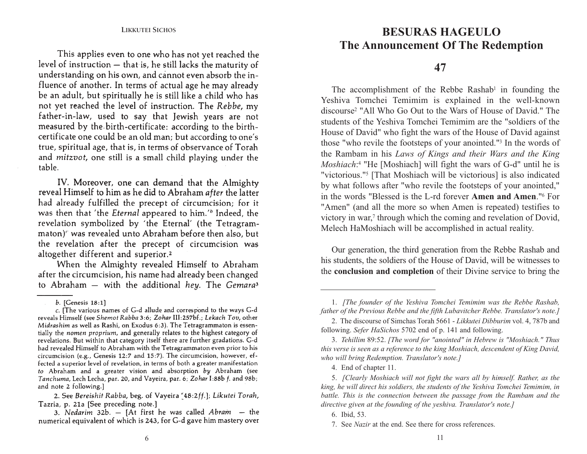This applies even to one who has not yet reached the level of instruction - that is, he still lacks the maturity of understanding on his own, and cannot even absorb the influence of another. In terms of actual age he may already be an adult, but spiritually he is still like a child who has not yet reached the level of instruction. The Rebbe, my father-in-law, used to say that Jewish years are not measured by the birth-certificate: according to the birthcertificate one could be an old man; but according to one's true, spiritual age, that is, in terms of observance of Torah and *mitzvot*, one still is a small child playing under the table.

IV. Moreover, one can demand that the Almighty reveal Himself to him as he did to Abraham after the latter had already fulfilled the precept of circumcision; for it was then that 'the *Eternal* appeared to him.'<sup>b</sup> Indeed, the revelation symbolized by 'the Eternal' (the Tetragrammaton)" was revealed unto Abraham before then also, but the revelation after the precept of circumcision was altogether different and superior.<sup>2</sup>

When the Almighty revealed Himself to Abraham after the circumcision, his name had already been changed to Abraham - with the additional hey. The Gemara<sup>3</sup>

### **BESURAS HAGEULO The Announcement Of The Redemption**

### **47**

Yeshiva Tomchei Temimim is explained in the well-known The accomplishment of the Rebbe Rashab<sup>1</sup> in founding the discourse2 "All Who Go Out to the Wars of House of David." Thestudents of the Yeshiva Tomchei Temimim are the "soldiers of theHouse of David" who fight the wars of the House of David against those "who revile the footsteps of your anointed."3 In the words of the Rambam in his *Laws of Kings and their Wars and the King Moshiach*:<sup>4</sup> "He [Moshiach] will fight the wars of G-d" until he is "victorious."5 [That Moshiach will be victorious] is also indicated by what follows after "who revile the footsteps of your anointed," in the words "Blessed is the L-rd forever **Amen and Amen**."6 For"Amen" (and all the more so when Amen is repeated) testifies to victory in war,<sup>7</sup> through which the coming and revelation of Dovid, Melech HaMoshiach will be accomplished in actual reality.

Our generation, the third generation from the Rebbe Rashab and his students, the soldiers of the House of David, will be witnesses to the **conclusion and completion** of their Divine service to bring the

b. [Genesis 18:1]

c. [The various names of G-d allude and correspond to the ways G-d reveals Himself (see Shemot Rabba 3:6; Zohar III:257bf.; Lekach Tov, other Midrashim as well as Rashi, on Exodus 6:3). The Tetragrammaton is essentially the nomen proprium, and generally relates to the highest category of revelations. But within that category itself there are further gradations. G-d had revealed Himself to Abraham with the Tetragrammaton even prior to his circumcision (e.g., Genesis 12:7 and 15:7). The circumcision, however, effected a superior level of revelation, in terms of both a greater manifestation to Abraham and a greater vision and absorption by Abraham (see Tanchuma, Lech Lecha, par. 20, and Vayeira, par. 6; Zohar I:88b f. and 98b; and note 2 following.]

<sup>2.</sup> See Bereishit Rabba, beg. of Vayeira [48:2ff.]; Likutei Torah, Tazria, p. 21a [See preceding note.]

<sup>3.</sup> Nedarim 32b. - [At first he was called  $Abram - the$ numerical equivalent of which is 243, for G-d gave him mastery over

<sup>1.</sup> *[The founder of the Yeshiva Tomchei Temimim was the Rebbe Rashab, father of the Previous Rebbe and the fifth Lubavitcher Rebbe. Translator's note.]*

<sup>2.</sup> The discourse of Simchas Torah 5661 - *Likkutei Dibburim* vol. 4, 787b and following. *Sefer HaSichos* 5702 end of p. 141 and following.

<sup>3.</sup> *Tehillim* 89:52. *[The word for "anointed" in Hebrew is "Moshiach." Thus this verse is seen as a reference to the king Moshiach, descendent of King David, who will bring Redemption. Translator's note.]*

<sup>4.</sup> End of chapter 11.

<sup>5.</sup> *[Clearly Moshiach will not fight the wars all by himself. Rather, as the king, he will direct his soldiers, the students of the Yeshiva Tomchei Temimim, in battle. This is the connection between the passage from the Rambam and the directive given at the founding of the yeshiva. Translator's note.]*

<sup>6.</sup> Ibid, 53.

<sup>7.</sup> See *Nazir* at the end. See there for cross references.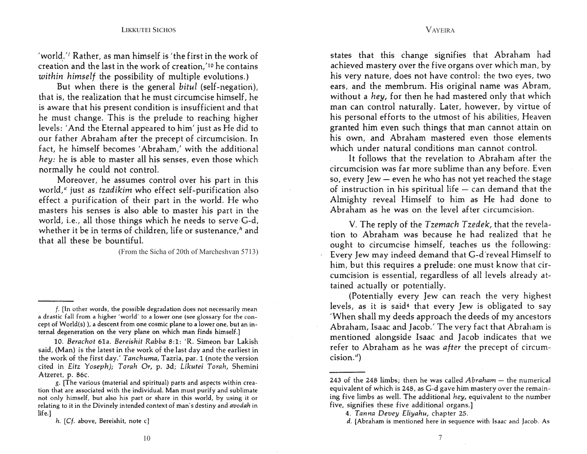'world.'' Rather, as man himself is 'the first in the work of creation and the last in the work of creation, 10 he contains within himself the possibility of multiple evolutions.)

But when there is the general bitul (self-negation), that is, the realization that he must circumcise himself, he is aware that his present condition is insufficient and that he must change. This is the prelude to reaching higher levels: 'And the Eternal appeared to him' just as He did to our father Abraham after the precept of circumcision. In fact, he himself becomes 'Abraham,' with the additional hey: he is able to master all his senses, even those which normally he could not control.

Moreover, he assumes control over his part in this world,<sup>*«*</sup> just as *tzadikim* who effect self-purification also effect a purification of their part in the world. He who masters his senses is also able to master his part in the world, i.e., all those things which he needs to serve G-d, whether it be in terms of children, life or sustenance," and that all these be bountiful.

(From the Sicha of 20th of Marcheshvan 5713)

10. Berachot 61a. Bereishit Rabba 8:1: 'R. Simeon bar Lakish said, (Man) is the latest in the work of the last day and the earliest in the work of the first day.' Tanchuma, Tazria, par. 1 (note the version cited in Eitz Yoseph); Torah Or, p. 3d; Likutei Torah, Shemini Atzeret, p. 86c.

states that this change signifies that Abraham had achieved mastery over the five organs over which man, by his very nature, does not have control: the two eyes, two ears, and the membrum. His original name was Abram, without a hey, for then he had mastered only that which man can control naturally. Later, however, by virtue of his personal efforts to the utmost of his abilities, Heaven granted him even such things that man cannot attain on his own, and Abraham mastered even those elements which under natural conditions man cannot control.

It follows that the revelation to Abraham after the circumcision was far more sublime than any before. Even so, every Jew - even he who has not yet reached the stage of instruction in his spiritual life  $-$  can demand that the Almighty reveal Himself to him as He had done to Abraham as he was on the level after circumcision.

V. The reply of the Tzemach Tzedek, that the revelation to Abraham was because he had realized that he ought to circumcise himself, teaches us the following: Every Jew may indeed demand that G-d reveal Himself to him, but this requires a prelude: one must know that circumcision is essential, regardless of all levels already attained actually or potentially.

(Potentially every Jew can reach the very highest levels, as it is said<sup>4</sup> that every Jew is obligated to say 'When shall my deeds approach the deeds of my ancestors Abraham, Isaac and Jacob.' The very fact that Abraham is mentioned alongside Isaac and Jacob indicates that we refer to Abraham as he was after the precept of circum $cision.'$ 

f. [In other words, the possible degradation does not necessarily mean a drastic fall from a higher 'world' to a lower one (see glossary for the concept of World(s)), a descent from one cosmic plane to a lower one, but an internal degeneration on the very plane on which man finds himself.]

g. [The various (material and spiritual) parts and aspects within creation that are associated with the individual. Man must purify and sublimate not only himself, but also his part or share in this world, by using it or relating to it in the Divinely intended context of man's destiny and avodah in  $l$ ife.]

h. [Cf. above, Bereishit, note c]

<sup>243</sup> of the 248 limbs; then he was called Abraham - the numerical equivalent of which is 248, as G-d gave him mastery over the remaining five limbs as well. The additional hey, equivalent to the number five, signifies these five additional organs.]

<sup>4.</sup> Tanna Devey Eliyahu, chapter 25.

d. [Abraham is mentioned here in sequence with Isaac and Jacob. As